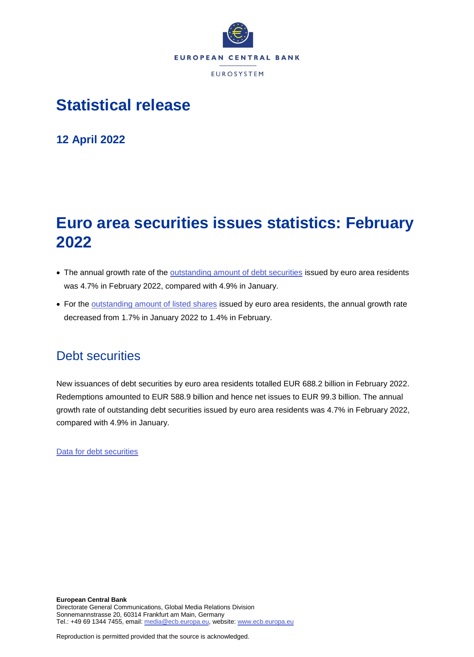

# **Statistical release**

**12 April 2022**

# **Euro area securities issues statistics: February 2022**

- The annual growth rate of the **outstanding amount of debt securities** issued by euro area residents was 4.7% in February 2022, compared with 4.9% in January.
- For the [outstanding amount of listed shares](http://sdw.ecb.europa.eu/quickview.do?SERIES_KEY=130.SEC.M.I8.1000.F51100.M.I.Z01.A.Z) issued by euro area residents, the annual growth rate decreased from 1.7% in January 2022 to 1.4% in February.

## Debt securities

New issuances of debt securities by euro area residents totalled EUR 688.2 billion in February 2022. Redemptions amounted to EUR 588.9 billion and hence net issues to EUR 99.3 billion. The annual growth rate of outstanding debt securities issued by euro area residents was 4.7% in February 2022, compared with 4.9% in January.

[Data for debt securities](http://sdw.ecb.europa.eu/browseSelection.do?type=series&q=SEC.M.I8.1000.F33000.N.2.Z01.E.Z%2c+SEC.M.I8.1000.F33000.N.3.Z01.E.Z%2c+SEC.M.I8.1000.F33000.N.4.Z01.E.Z%2c+SEC.M.I8.1000.F33000.N.I.Z01.A.Z&node=SEARCHRESULTS&ec=&oc=&rc=&cv=&pb=&dc=&df=)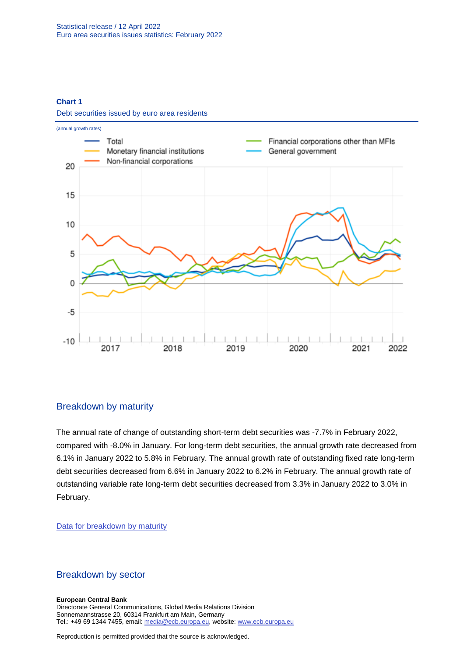### **Chart 1**

Debt securities issued by euro area residents



### Breakdown by maturity

The annual rate of change of outstanding short-term debt securities was -7.7% in February 2022, compared with -8.0% in January. For long-term debt securities, the annual growth rate decreased from 6.1% in January 2022 to 5.8% in February. The annual growth rate of outstanding fixed rate long-term debt securities decreased from 6.6% in January 2022 to 6.2% in February. The annual growth rate of outstanding variable rate long-term debt securities decreased from 3.3% in January 2022 to 3.0% in February.

### [Data for breakdown by maturity](http://sdw.ecb.europa.eu/browseSelection.do?type=series&q=SEC.M.I8.1000.F33100.N.I.Z01.A.Z%2c+SEC.M.I8.1000.F33200.N.I.Z01.A.Z%2c+SEC.M.I8.1000.F33201.N.I.Z01.A.Z%2c+SEC.M.I8.1000.F33202.N.I.Z01.A.Z&node=SEARCHRESULTS&ec=&oc=&rc=&cv=&pb=&dc=&df=)

### Breakdown by sector

**European Central Bank** Directorate General Communications, Global Media Relations Division Sonnemannstrasse 20, 60314 Frankfurt am Main, Germany Tel.: +49 69 1344 7455, email[: media@ecb.europa.eu,](mailto:media@ecb.europa.eu) website[: www.ecb.europa.eu](file:///C:/Users/pironem/Desktop/www.ecb.europa.eu)

Reproduction is permitted provided that the source is acknowledged.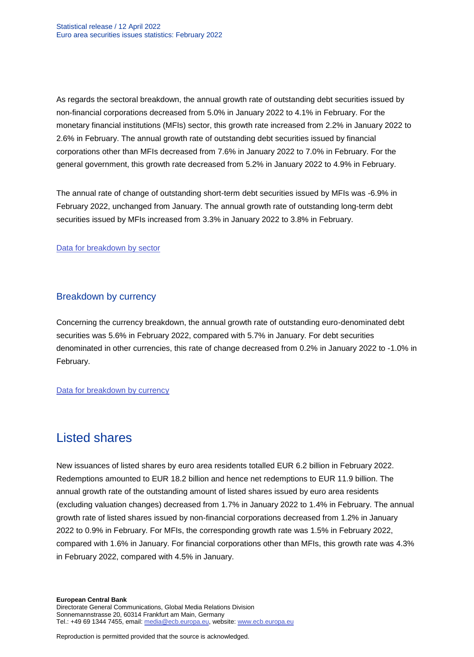As regards the sectoral breakdown, the annual growth rate of outstanding debt securities issued by non-financial corporations decreased from 5.0% in January 2022 to 4.1% in February. For the monetary financial institutions (MFIs) sector, this growth rate increased from 2.2% in January 2022 to 2.6% in February. The annual growth rate of outstanding debt securities issued by financial corporations other than MFIs decreased from 7.6% in January 2022 to 7.0% in February. For the general government, this growth rate decreased from 5.2% in January 2022 to 4.9% in February.

The annual rate of change of outstanding short-term debt securities issued by MFIs was -6.9% in February 2022, unchanged from January. The annual growth rate of outstanding long-term debt securities issued by MFIs increased from 3.3% in January 2022 to 3.8% in February.

### [Data for breakdown by sector](http://sdw.ecb.europa.eu/browseSelection.do?type=series&q=SEC.M.I8.1100.F33000.N.I.Z01.A.Z%2cSEC.M.I8.1220.F33000.N.I.Z01.A.Z%2cSEC.M.I8.1235.F33000.N.I.Z01.A.Z%2cSEC.M.I8.1300.F33000.N.I.Z01.A.Z%2cSEC.M.I8.1220.F33100.N.I.Z01.A.Z%2cSEC.M.I8.1220.F33200.N.I.Z01.A.Z&node=SEARCHRESULTS&ec=&oc=&rc=&cv=&pb=&dc=&df=)

### Breakdown by currency

Concerning the currency breakdown, the annual growth rate of outstanding euro-denominated debt securities was 5.6% in February 2022, compared with 5.7% in January. For debt securities denominated in other currencies, this rate of change decreased from 0.2% in January 2022 to -1.0% in February.

### [Data for breakdown by currency](http://sdw.ecb.europa.eu/browseSelection.do?type=series&q=SEC.M.I8.1000.F33000.N.I.EUR.A.Z%2cSEC.M.I8.1000.F33000.N.I.Z06.A.Z&node=SEARCHRESULTS&ec=&oc=&rc=&cv=&pb=&dc=&df=)

## Listed shares

New issuances of listed shares by euro area residents totalled EUR 6.2 billion in February 2022. Redemptions amounted to EUR 18.2 billion and hence net redemptions to EUR 11.9 billion. The annual growth rate of the outstanding amount of listed shares issued by euro area residents (excluding valuation changes) decreased from 1.7% in January 2022 to 1.4% in February. The annual growth rate of listed shares issued by non-financial corporations decreased from 1.2% in January 2022 to 0.9% in February. For MFIs, the corresponding growth rate was 1.5% in February 2022, compared with 1.6% in January. For financial corporations other than MFIs, this growth rate was 4.3% in February 2022, compared with 4.5% in January.

**European Central Bank** Directorate General Communications, Global Media Relations Division Sonnemannstrasse 20, 60314 Frankfurt am Main, Germany Tel.: +49 69 1344 7455, email[: media@ecb.europa.eu,](mailto:media@ecb.europa.eu) website[: www.ecb.europa.eu](file:///C:/Users/pironem/Desktop/www.ecb.europa.eu)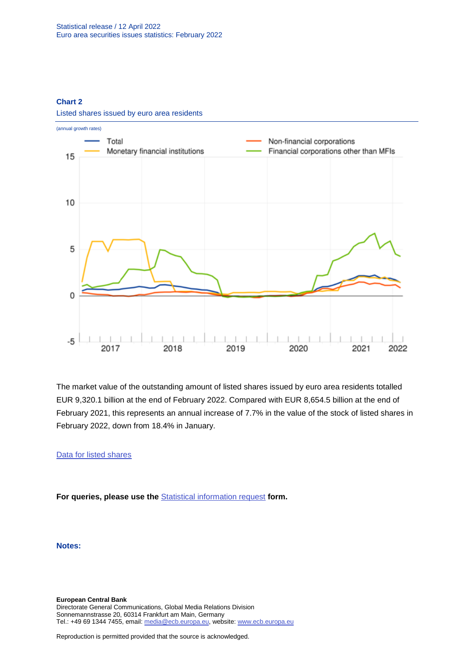### **Chart 2**



Listed shares issued by euro area residents

The market value of the outstanding amount of listed shares issued by euro area residents totalled EUR 9,320.1 billion at the end of February 2022. Compared with EUR 8,654.5 billion at the end of February 2021, this represents an annual increase of 7.7% in the value of the stock of listed shares in February 2022, down from 18.4% in January.

### [Data for listed shares](http://sdw.ecb.europa.eu/browseSelection.do?type=series&q=SEC.M.I8.1000.F51100.M.2.Z01.E.Z%2cSEC.M.I8.1000.F51100.M.3.Z01.E.Z%2cSEC.M.I8.1000.F51100.M.4.Z01.E.Z%2cSEC.M.I8.1000.F51100.M.I.Z01.A.Z%2cSEC.M.I8.1100.F51100.M.I.Z01.A.Z%2cSEC.M.I8.1220.F51100.M.I.Z01.A.Z%2cSEC.M.I8.1235.F51100.M.I.Z01.A.Z%2cSEC.M.I8.1000.F51100.M.1.Z01.E.Z&node=SEARCHRESULTS&ec=&oc=&rc=&cv=&pb=&dc=&df=)

**For queries, please use the** [Statistical information request](https://ecb-registration.escb.eu/statistical-information) **form.**

**Notes:**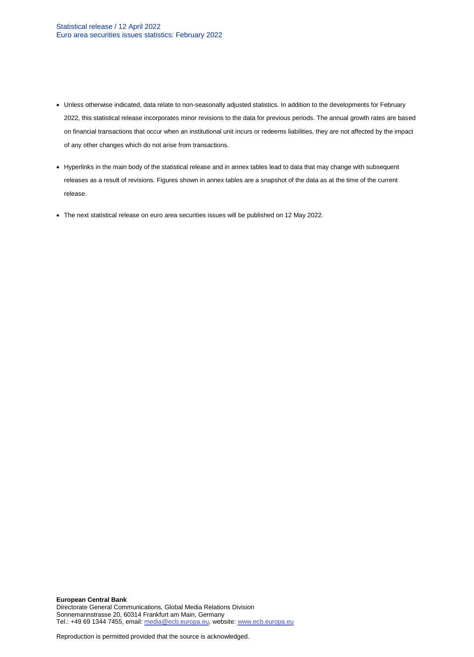- Unless otherwise indicated, data relate to non-seasonally adjusted statistics. In addition to the developments for February 2022, this statistical release incorporates minor revisions to the data for previous periods. The annual growth rates are based on financial transactions that occur when an institutional unit incurs or redeems liabilities, they are not affected by the impact of any other changes which do not arise from transactions.
- Hyperlinks in the main body of the statistical release and in annex tables lead to data that may change with subsequent releases as a result of revisions. Figures shown in annex tables are a snapshot of the data as at the time of the current release.
- The next statistical release on euro area securities issues will be published on 12 May 2022.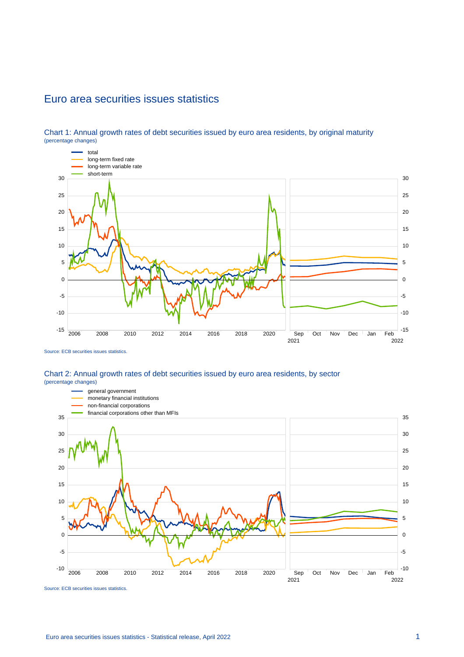### Euro area securities issues statistics



Chart 1: Annual growth rates of debt securities issued by euro area residents, by original maturity (percentage changes)

Source: ECB securities issues statistics.

### Chart 2: Annual growth rates of debt securities issued by euro area residents, by sector (percentage changes)



Source: ECB securities issues statistics.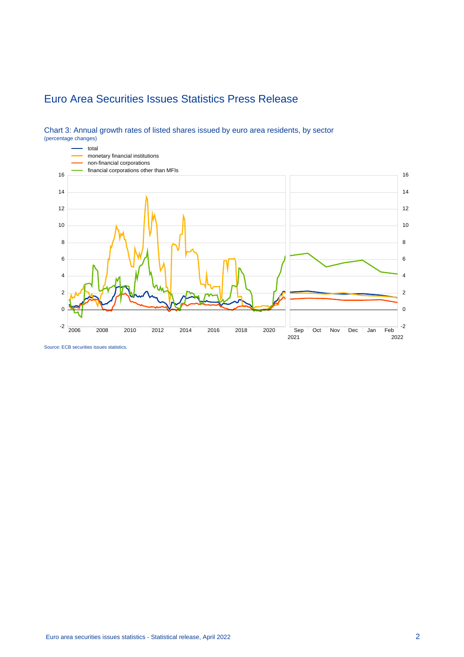# Euro Area Securities Issues Statistics Press Release



### Chart 3: Annual growth rates of listed shares issued by euro area residents, by sector (percentage changes)

Source: ECB securities issues statistics.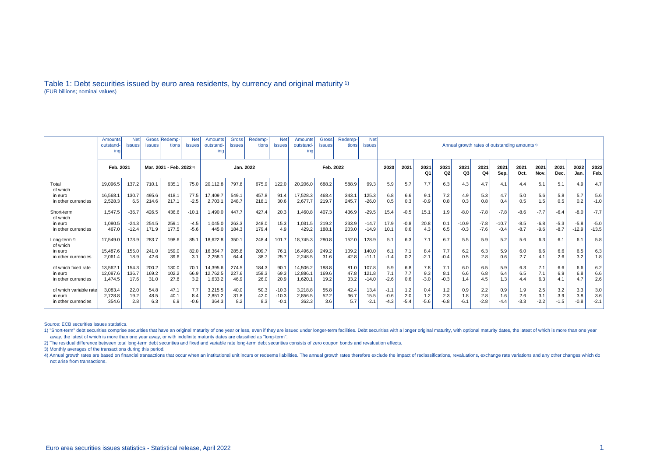#### Table 1: Debt securities issued by euro area residents, by currency and original maturity 1) (EUR billions; nominal values)

|                          | Amounts<br>outstand<br>ing | <b>issues</b> | Gross Redemp<br>tions    | <b>Net</b><br><b>issues</b> | Amounts<br>outstand-<br>ing | Gross<br><b>issues</b> | Redemp-<br>tions | <b>Net</b><br><b>issues</b> | <b>Amounts</b><br>outstand-<br>ına | <b>Gross</b><br>issues | Redemp-<br>tions | <b>Net</b><br><b>issues</b> | Annual growth rates of outstanding amounts <sup>4)</sup> |        |            |                        |            |            |              |              |              |              |              |              |         |
|--------------------------|----------------------------|---------------|--------------------------|-----------------------------|-----------------------------|------------------------|------------------|-----------------------------|------------------------------------|------------------------|------------------|-----------------------------|----------------------------------------------------------|--------|------------|------------------------|------------|------------|--------------|--------------|--------------|--------------|--------------|--------------|---------|
|                          | Feb. 2021                  |               | Mar. 2021 - Feb. 2022 3) |                             |                             | Jan. 2022              |                  |                             | Feb. 2022                          |                        |                  |                             | 2020                                                     | 2021   | 2021<br>Q1 | 2021<br>Q <sub>2</sub> | 2021<br>Q3 | 2021<br>Q4 | 2021<br>Sep. | 2021<br>Oct. | 2021<br>Nov. | 2021<br>Dec. | 2022<br>Jan. | 2022<br>Feb. |         |
| Total<br>of which        | 19.096.5                   | 137.2         | 710.1                    | 635.1                       | 75.0                        | 20,112.8               | 797.8            | 675.9                       | 122.0                              | 20,206.0               | 688.2            | 588.9                       | 99.3                                                     | 5.9    | 5.7        | 7.7                    | 6.3        | 4.3        | 4.7          | 4.1          | 4.4          | 5.1          | 5.1          | 4.9          | 4.7     |
| in euro                  | 16,568.                    | 130.7         | 495.6                    | 418.1                       | 77.5                        | 17.409.7               | 549.1            | 457.8                       | 91.4                               | 17,528.3               | 468.4            | 343.1                       | 125.3                                                    | 6.8    | 6.6        | 9.1                    | 7.2        | 4.9        | 5.3          | 4.7          | 5.0          | 5.6          | 5.8          | 5.7          | 5.6     |
| in other currencies      | 2.528.3                    | 6.5           | 214.6                    | 217.1                       | $-2.5$                      | 2,703.1                | 248.7            | 218.1                       | 30.6                               | 2,677.7                | 219.7            | 245.7                       | $-26.0$                                                  | 0.5    | 0.3        | $-0.9$                 | 0.8        | 0.3        | 0.8          | 0.4          | 0.5          | 1.5          | 0.5          | 0.2          | $-1.0$  |
| Short-term<br>of which   | 1.547.5                    | $-36.7$       | 426.5                    | 436.6                       | $-10.1$                     | 1,490.0                | 447.7            | 427.4                       | 20.3                               | 8.034,1                | 407.3            | 436.9                       | $-29.5$                                                  | 15.4   | $-0.5$     | 15.1                   | 1.9        | $-8.0$     | $-7.8$       | $-7.8$       | $-8.6$       | $-7.7$       | $-6.4$       | $-8.0$       | $-7.7$  |
| in euro                  | 1.080.5                    | $-24.3$       | 254.5                    | 259.1                       | $-4.5$                      | 1,045.0                | 263.3            | 248.0                       | 15.3                               | 1,031.5                | 219.2            | 233.9                       | $-14.7$                                                  | 17.9   | $-0.8$     | 20.8                   | 0.1        | $-10.9$    | $-7.8$       | $-10.7$      | $-8.5$       | $-6.8$       | $-5.3$       | $-5.8$       | $-5.0$  |
| in other currencies      | 467.0                      | $-12.4$       | 171.9                    | 177.5                       | $-5.6$                      | 445.0                  | 184.3            | 179.4                       | 4.9                                | 429.2                  | 188.1            | 203.0                       | $-14.9$                                                  | 10.1   | 0.6        | 4.3                    | 6.5        | $-0.3$     | $-7.6$       | $-0.4$       | $-8.7$       | $-9.6$       | $-8.7$       | $-12.9$      | $-13.5$ |
| Long-term 2)<br>of which | 17.549.0                   | 173.9         | 283.7                    | 198.6                       | 85.1                        | 18,622.8               | 350.1            | 248.4                       | 101.7                              | 18.745.3               | 280.8            | 152.0                       | 128.9                                                    | 5.1    | 6.3        | 7.1                    | 6.7        | 5.5        | 5.9          | 5.2          | 5.6          | 6.3          | 6.1          | 6.1          | 5.8     |
| in euro                  | 15.487.6                   | 155.0         | 241.0                    | 159.0                       | 82.0                        | 16,364.7               | 285.8            | 209.7                       | 76.1                               | 16,496.8               | 249.2            | 109.2                       | 140.0                                                    | 6.1    | 7.1        | 8.4                    | 7.7        | 6.2        | 6.3          | 5.9          | 6.0          | 6.6          | 6.6          | 6.5          | 6.3     |
| in other currencies      | 2.061.4                    | 18.9          | 42.6                     | 39.6                        | 3.1                         | 2,258.1                | 64.4             | 38.7                        | 25.7                               | 2,248.5                | 31.6             | 42.8                        | $-11.1$                                                  | $-1.4$ | 0.2        | $-2.1$                 | $-0.4$     | 0.5        | 2.8          | 0.6          | 2.7          | 4.1          | 2.6          | 3.2          | 1.8     |
| of which fixed rate      | 13.562.1                   | 154.3         | 200.2                    | 130.0                       | 70.1                        | 14,395.6               | 274.5            | 184.3                       | 90.1                               | 14.506.2               | 188.8            | 81.0                        | 107.8                                                    | 5.9    | 6.8        | 7.8                    | 7.1        | 6.0        | 6.5          | 5.9          | 6.3          | 7.1          | 6.6          | 6.6          | 6.2     |
| in euro                  | 12.087.6                   | 136.7         | 169.2                    | 102.2                       | 66.9                        | 12,762.5               | 227.6            | 158.3                       | 69.3                               | 12,886.1               | 169.6            | 47.8                        | 121.8                                                    | 7.1    | 7.7        | 9.3                    | 8.1        | 6.6        | 6.8          | 6.4          | 6.5          | 7.1          | 6.9          | 6.8          | 6.6     |
| in other currencies      | 1.474.5                    | 17.6          | 31.0                     | 27.8                        | 3.2                         | 1,633.2                | 46.9             | 26.0                        | 20.9                               | 1,620.1                | 19.2             | 33.2                        | $-14.0$                                                  | $-2.6$ | 0.6        | $-3.0$                 | $-0.3$     | 1.4        | 4.5          | 1.3          | 4.4          | 6.3          | 4.1          | 4.7          | 2.6     |
| of which variable rate   | 3.083.4                    | 22.0          | 54.8                     | 47.1                        | 7.7                         | 3,215.5                | 40.0             | 50.3                        | $-10.3$                            | 3,218.8                | 55.8             | 42.4                        | 13.4                                                     | $-1.1$ | 1.2        | 0.4                    | 1.2        | 0.9        | 2.2          | 0.9          | 1.9          | 2.5          | 3.2          | 3.3          | 3.0     |
| in euro                  | 2,728.8                    | 19.2          | 48.5                     | 40.1                        | 8.4                         | 2,851.2                | 31.8             | 42.0                        | $-10.3$                            | 2,856.5                | 52.2             | 36.7                        | 15.5                                                     | $-0.6$ | 2.0        | 1.2                    | 2.3        | 1.8        | 2.8          | 1.6          | 2.6          | 3.1          | 3.9          | 3.8          | 3.6     |
| in other currencies      | 354.6                      | 2.8           | 6.3                      | 6.9                         | $-0.6$                      | 364.3                  | 8.2              | 8.3                         | $-0.1$                             | 362.3                  | 3.6              | 5.7                         | $-2.7$                                                   | -4.3   | $-5.4$     | $-5.6$                 | $-6.8$     | $-6.1$     | $-2.8$       | -4.4         | $-3.3$       | $-2.2$       | $-1.5$       | $-0.8$       | $-2.1$  |

Source: ECB securities issues statistics.

1) "Short-term" debt securities comprise securities that have an original maturity of one year or less, even if they are issued under longer-term facilities. Debt securities with a longer original maturity, with optional m away, the latest of which is more than one year away, or with indefinite maturity dates are classified as "long-term".

2) The residual difference between total long-term debt securities and fixed and variable rate long-term debt securities consists of zero coupon bonds and revaluation effects.

3) Monthly averages of the transactions during this period.

4) Annual growth rates are based on financial transactions that occur when an institutional unit incurs or redeems liabilities. The annual growth rates therefore exclude the impact of reclassifications, revaluations, excha not arise from transactions.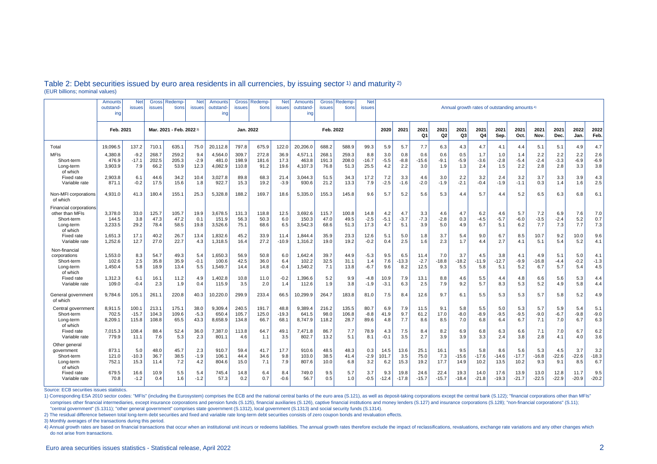|                                                                                         | Amounts<br>outstand<br>ing  | Net<br>issues             | <b>Gross</b><br><b>issues</b> | Redemp-<br>tions                   | <b>Net</b><br><b>issues</b> | Amounts<br>outstand<br>ing  | <b>Gross</b><br>issues  | Redemp<br>tions        | <b>Net</b><br>issues    | Amounts<br>outstand<br>ing  | <b>Gross</b><br><b>issues</b> | Redemp<br>tions        | <b>Net</b><br>issues   | Annual growth rates of outstanding amounts <sup>4)</sup> |                        |                        |                      |                        |                        |                        |                        |                       |                       |                       |                       |
|-----------------------------------------------------------------------------------------|-----------------------------|---------------------------|-------------------------------|------------------------------------|-----------------------------|-----------------------------|-------------------------|------------------------|-------------------------|-----------------------------|-------------------------------|------------------------|------------------------|----------------------------------------------------------|------------------------|------------------------|----------------------|------------------------|------------------------|------------------------|------------------------|-----------------------|-----------------------|-----------------------|-----------------------|
|                                                                                         | Feb. 2021                   |                           |                               | Mar. 2021 - Feb. 2022 <sup>3</sup> |                             | Jan. 2022                   |                         |                        | Feb. 2022               |                             |                               |                        | 2020                   | 2021                                                     | 2021<br>Q <sub>1</sub> | 2021<br>Q <sub>2</sub> | 2021<br>Q3           | 2021<br>Q4             | 2021<br>Sep.           | 2021<br>Oct.           | 2021<br>Nov.           | 2021<br>Dec.          | 2022<br>Jan.          | 2022<br>Feb.          |                       |
| Total                                                                                   | 19.096.5                    | 137.2                     | 710.1                         | 635.1                              | 75.0                        | 20.112.8                    | 797.8                   | 675.9                  | 122.0                   | 20.206.0                    | 688.2                         | 588.9                  | 99.3                   | 5.9                                                      | 5.7                    | 7.7                    | 6.3                  | 4.3                    | 4.7                    | 4.1                    | 4.4                    | 5.1                   | 5.1                   | 4.9                   | 4.7                   |
| <b>MFIs</b><br>Short-term<br>Long-term<br>of which                                      | 4,380.8<br>476.9<br>3,903.9 | $-9.2$<br>$-17.1$<br>7.9  | 268.7<br>202.5<br>66.2        | 259.2<br>205.3<br>53.9             | 9.4<br>$-2.9$<br>12.3       | 4,564.0<br>481.0<br>4,082.9 | 309.7<br>198.9<br>110.8 | 272.8<br>181.6<br>91.2 | 36.9<br>17.3<br>19.6    | 4,571.1<br>463.8<br>4.107.3 | 268.1<br>191.3<br>76.8        | 259.3<br>208.0<br>51.3 | 8.8<br>$-16.7$<br>25.5 | 3.0<br>$-5.5$<br>4.2                                     | 0.8<br>$-8.8$<br>2.2   | 0.6<br>$-15.6$<br>3.0  | 0.6<br>$-9.1$<br>1.9 | 0.5<br>$-5.9$<br>1.3   | 1.7<br>$-3.6$<br>2.4   | 1.0<br>$-2.8$<br>1.5   | 1.4<br>$-5.4$<br>2.2   | 2.2<br>$-2.4$<br>2.8  | 2.2<br>$-3.3$<br>2.8  | 2.2<br>$-6.9$<br>3.3  | 2.6<br>$-6.9$<br>3.8  |
| Fixed rate<br>Variable rate                                                             | 2,903.8<br>871.1            | 6.1<br>$-0.2$             | 44.6<br>17.5                  | 34.2<br>15.6                       | 10.4<br>1.8                 | 3,027.8<br>922.7            | 89.8<br>15.3            | 68.3<br>19.2           | 21.4<br>$-3.9$          | 3,044.3<br>930.6            | 51.5<br>21.2                  | 34.3<br>13.3           | 17.2<br>7.9            | 7.2<br>$-2.5$                                            | 3.3<br>$-1.6$          | 4.6<br>$-2.0$          | 3.0<br>$-1.9$        | 2.2<br>$-2.1$          | 3.2<br>$-0.4$          | 2.4<br>$-1.9$          | 3.2<br>$-1.1$          | 3.7<br>0.3            | 3.3<br>1.4            | 3.9<br>1.6            | 4.3<br>2.5            |
| Non-MFI corporations<br>of which                                                        | 4,931.0                     | 41.3                      | 180.4                         | 155.1                              | 25.3                        | 5,328.8                     | 188.2                   | 169.7                  | 18.6                    | 5,335.0                     | 155.3                         | 145.8                  | 9.6                    | 5.7                                                      | 5.2                    | 5.6                    | 5.3                  | 4.4                    | 5.7                    | 4.4                    | 5.2                    | 6.5                   | 6.3                   | 6.8                   | 6.1                   |
| <b>Financial corporations</b><br>other than MFIs<br>Short-term<br>Long-term<br>of which | 3,378.0<br>144.5<br>3,233.5 | 33.0<br>3.8<br>29.2       | 125.7<br>47.3<br>78.4         | 105.7<br>47.2<br>58.5              | 19.9<br>0.1<br>19.8         | 3.678.5<br>151.9<br>3,526.6 | 131.3<br>56.3<br>75.1   | 118.8<br>50.3<br>68.6  | 12.5<br>6.0<br>6.5      | 3,692.6<br>150.3<br>3,542.3 | 115.7<br>47.0<br>68.6         | 100.8<br>49.5<br>51.3  | 14.8<br>$-2.5$<br>17.3 | 4.2<br>$-5.1$<br>4.7                                     | 4.7<br>$-3.7$<br>5.1   | 3.3<br>$-7.3$<br>3.9   | 4.6<br>$-2.8$<br>5.0 | 4.7<br>0.3<br>4.9      | 6.2<br>-4.5<br>6.7     | 4.6<br>$-5.7$<br>5.1   | 5.7<br>$-6.0$<br>6.2   | 7.2<br>$-3.5$<br>7.7  | 6.9<br>$-2.4$<br>7.3  | 7.6<br>5.2<br>7.7     | 7.0<br>0.7<br>7.3     |
| <b>Fixed rate</b><br>Variable rate                                                      | 1,651.3<br>1,252.6          | 17.1<br>12.7              | 40.2<br>27.0                  | 26.7<br>22.7                       | 13.4<br>4.3                 | 1.832.6<br>1,318.5          | 45.2<br>16.4            | 33.9<br>27.2           | 11.4<br>$-10.9$         | 1.844.4<br>1,316.2          | 35.9<br>19.0                  | 23.3<br>19.2           | 12.6<br>$-0.2$         | 5.1<br>0.4                                               | 5.0<br>2.5             | 1.8<br>1.6             | 3.7<br>2.3           | 5.4<br>1.7             | 9.0<br>4.4             | 6.7<br>2.7             | 8.5<br>4.1             | 10.7<br>5.1           | 9.2<br>5.4            | 10.0<br>5.2           | 9.6<br>4.1            |
| Non-financial<br>corporations<br>Short-term<br>Long-term<br>of which                    | 1,553.0<br>102.6<br>1,450.4 | 8.3<br>2.5<br>5.8         | 54.7<br>35.8<br>18.9          | 49.3<br>35.9<br>13.4               | 5.4<br>$-0.1$<br>5.5        | 1,650.3<br>100.6<br>1,549.7 | 56.9<br>42.5<br>14.4    | 50.8<br>36.0<br>14.8   | 6.0<br>6.4<br>$-0.4$    | 1,642.4<br>102.2<br>1,540.2 | 39.7<br>32.5<br>7.1           | 44.9<br>31.1<br>13.8   | -5.3<br>1.4<br>$-6.7$  | 9.5<br>7.6<br>9.6                                        | 6.5<br>$-13.3$<br>8.2  | 11.4<br>$-2.7$<br>12.5 | 7.0<br>-18.8<br>9.3  | 3.7<br>$-18.2$<br>5.5  | 4.5<br>-11.9<br>5.8    | 3.8<br>$-12.7$<br>5.1  | 4.1<br>-9.9<br>5.2     | 4.9<br>$-16.8$<br>6.7 | 5.1<br>$-4.4$<br>5.7  | 5.0<br>$-0.2$<br>5.4  | 4.1<br>$-1.3$<br>4.5  |
| Fixed rate<br>Variable rate                                                             | 1,312.3<br>109.0            | 6.1<br>$-0.4$             | 16.1<br>2.3                   | 11.2<br>1.9                        | 4.9<br>0.4                  | 1.402.8<br>115.9            | 10.8<br>3.5             | 11.0<br>2.0            | $-0.2$<br>1.4           | 1.396.6<br>112.6            | 5.2<br>1.9                    | 9.9<br>3.8             | $-4.8$<br>$-1.9$       | 10.9<br>$-3.1$                                           | 7.9<br>6.3             | 13.1<br>2.5            | 8.8<br>7.9           | 4.6<br>9.2             | 5.5<br>5.7             | 4.4<br>8.3             | 4.8<br>5.3             | 6.6<br>5.2            | 5.6<br>4.9            | 5.3<br>5.8            | 4.4<br>4.4            |
| General government<br>of which                                                          | 9.784.6                     | 105.1                     | 261.1                         | 220.8                              | 40.3                        | 10,220.0                    | 299.9                   | 233.4                  | 66.5                    | 10,299.9                    | 264.7                         | 183.8                  | 81.0                   | 7.5                                                      | 8.4                    | 12.6                   | 9.7                  | 6.1                    | 5.5                    | 5.3                    | 5.3                    | 5.7                   | 5.8                   | 5.2                   | 4.9                   |
| Central government<br>Short-term<br>Long-term<br>of which                               | 8.911.5<br>702.5<br>8.209.1 | 100.1<br>$-15.7$<br>115.8 | 213.1<br>104.3<br>108.8       | 175.1<br>109.6<br>65.5             | 38.0<br>$-5.3$<br>43.3      | 9.309.4<br>650.4<br>8,658.9 | 240.5<br>105.7<br>134.8 | 191.7<br>125.0<br>66.7 | 48.8<br>$-19.3$<br>68.1 | 9.389.4<br>641.5<br>8.747.9 | 216.2<br>98.0<br>118.2        | 135.5<br>106.8<br>28.7 | 80.7<br>$-8.8$<br>89.6 | 6.9<br>41.9<br>4.8                                       | 7.9<br>9.7<br>7.7      | 11.5<br>61.2<br>8.6    | 9.1<br>17.0<br>8.5   | 5.8<br>$-8.0$<br>7.0   | 5.5<br>$-8.9$<br>6.8   | 5.0<br>$-9.5$<br>6.4   | 5.3<br>$-9.5$<br>6.7   | 5.7<br>$-9.0$<br>7.1  | 5.9<br>$-6.7$<br>7.0  | 5.4<br>$-9.8$<br>6.7  | 5.1<br>$-9.0$<br>6.3  |
| <b>Fixed rate</b><br>Variable rate                                                      | 7,015.3<br>779.9            | 108.4<br>11.1             | 88.4<br>7.6                   | 52.4<br>5.3                        | 36.0<br>2.3                 | 7,387.0<br>801.1            | 113.8<br>4.6            | 64.7<br>1.1            | 49.1<br>3.5             | 7,471.8<br>802.7            | 86.7<br>13.2                  | 7.7<br>5.1             | 78.9<br>8.1            | 4.3<br>$-0.1$                                            | 7.5<br>3.5             | 8.4<br>2.7             | 8.2<br>3.9           | 6.9<br>3.9             | 6.8<br>3.3             | 6.3<br>2.4             | 6.6<br>3.8             | 7.1<br>2.8            | 7.0<br>4.1            | 6.7<br>4.0            | 6.2<br>3.6            |
| Other general<br>government<br>Short-term<br>Long-term<br>of which                      | 873.1<br>121.0<br>752.1     | 5.0<br>$-10.3$<br>15.3    | 48.0<br>36.7<br>11.4          | 45.7<br>38.5<br>7.2                | 2.3<br>$-1.9$<br>4.2        | 910.7<br>106.1<br>804.6     | 59.4<br>44.4<br>15.0    | 41.7<br>34.6<br>7.1    | 17.7<br>9.8<br>7.9      | 910.6<br>103.0<br>807.6     | 48.5<br>38.5<br>10.0          | 48.3<br>41.4<br>6.8    | 0.3<br>$-2.9$<br>3.2   | 14.5<br>101.7<br>6.2                                     | 13.6<br>3.5<br>15.3    | 25.1<br>75.0<br>19.2   | 16.1<br>7.3<br>17.7  | 9.5<br>$-15.6$<br>14.9 | 5.8<br>$-17.6$<br>10.2 | 8.6<br>$-14.6$<br>13.5 | 5.6<br>$-17.7$<br>10.2 | 5.3<br>$-16.8$<br>9.3 | 4.5<br>$-22.6$<br>9.1 | 3.7<br>$-22.6$<br>8.5 | 3.2<br>$-18.3$<br>6.7 |
| <b>Fixed rate</b><br>Variable rate                                                      | 679.5<br>70.8               | 16.6<br>$-1.2$            | 10.9<br>0.4                   | 5.5<br>1.6                         | 5.4<br>$-1.2$               | 745.4<br>57.3               | 14.8<br>0.2             | 6.4<br>0.7             | 8.4<br>$-0.6$           | 749.0<br>56.7               | 9.5<br>0.5                    | 5.7<br>1.0             | 3.7<br>$-0.5$          | 9.3<br>$-12.4$                                           | 19.8<br>$-17.8$        | 24.6<br>$-15.7$        | 22.4<br>$-15.7$      | 19.3<br>$-18.4$        | 14.0<br>$-21.8$        | 17.6<br>$-19.3$        | 13.9<br>$-21.7$        | 13.0<br>$-22.5$       | 12.8<br>$-22.9$       | 11.7<br>$-20.9$       | 9.5<br>$-20.2$        |

#### Table 2: Debt securities issued by euro area residents in all currencies, by issuing sector 1) and maturity 2) (EUR billions; nominal values)

Source: ECB securities issues statistics.

1) Corresponding ESA 2010 sector codes: "MFIs" (including the Eurosystem) comprises the ECB and the national central banks of the euro area (S.121), as well as deposit-taking corporations except the central bank (S.122); " comprises other financial intermediaries, except insurance corporations and pension funds (S.125), financial auxiliaries (S.126), captive financial institutions and money lenders (S.127) and insurance corporations (S.128); "central government" (S.1311); "other general government" comprises state government (S.1312), local government (S.1313) and social security funds (S.1314).

2) The residual difference between total long-term debt securities and fixed and variable rate long-term debt securities consists of zero coupon bonds and revaluation effects.

3) Monthly averages of the transactions during this period.

4) Annual growth rates are based on financial transactions that occur when an institutional unit incurs or redeems liabilities. The annual growth rates therefore exclude the impact of reclassifications, revaluations, excha do not arise from transactions.